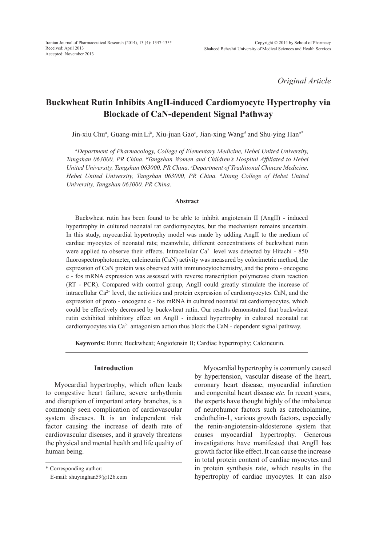*Original Article*

# **Buckwheat Rutin Inhibits AngII-induced Cardiomyocyte Hypertrophy via Blockade of CaN-dependent Signal Pathway**

Jin-xiu Chu*<sup>a</sup>* , Guang-minLi*<sup>b</sup>* , Xiu-juan Gao*<sup>c</sup>* , Jian-xing Wang*<sup>d</sup>* and Shu-ying Han*a\**

*a Department of Pharmacology, College of Elementary Medicine, Hebei United University, Tangshan 063000, PR China. b Tangshan Women and Children's Hospital Affiliated to Hebei*  United University, Tangshan 063000, PR China. *Copartment of Traditional Chinese Medicine*, *Hebei United University, Tangshan 063000, PR China. d Jitang College of Hebei United University, Tangshan 063000, PR China.*

#### **Abstract**

Buckwheat rutin has been found to be able to inhibit angiotensin II (AngII) - induced hypertrophy in cultured neonatal rat cardiomyocytes, but the mechanism remains uncertain. In this study, myocardial hypertrophy model was made by adding AngII to the medium of cardiac myocytes of neonatal rats; meanwhile, different concentrations of buckwheat rutin were applied to observe their effects. Intracellular  $Ca^{2+}$  level was detected by Hitachi - 850 fluorospectrophotometer, calcineurin (CaN) activity was measured by colorimetric method, the expression of CaN protein was observed with immunocytochemistry, and the proto - oncogene c - fos mRNA expression was assessed with reverse transcription polymerase chain reaction (RT - PCR). Compared with control group, AngII could greatly stimulate the increase of intracellular  $Ca^{2+}$  level, the activities and protein expression of cardiomyocytes CaN, and the expression of proto - oncogene c - fos mRNA in cultured neonatal rat cardiomyocytes, which could be effectively decreased by buckwheat rutin. Our results demonstrated that buckwheat rutin exhibited inhibitory effect on AngII - induced hypertrophy in cultured neonatal rat cardiomyocytes via  $Ca^{2+}$  antagonism action thus block the CaN - dependent signal pathway.

**Keywords:** Rutin; Buckwheat; Angiotensin II; Cardiac hypertrophy; Calcineurin*.*

# **Introduction**

Myocardial hypertrophy, which often leads to congestive heart failure, severe arrhythmia and disruption of important artery branches, is a commonly seen complication of cardiovascular system diseases. It is an independent risk factor causing the increase of death rate of cardiovascular diseases, and it gravely threatens the physical and mental health and life quality of human being.

Myocardial hypertrophy is commonly caused by hypertension, vascular disease of the heart, coronary heart disease, myocardial infarction and congenital heart disease *etc.* In recent years, the experts have thought highly of the imbalance of neurohumor factors such as catecholamine, endothelin-1, various growth factors, especially the renin-angiotensin-aldosterone system that causes myocardial hypertrophy. Generous investigations have manifested that AngII has growth factor like effect. It can cause the increase in total protein content of cardiac myocytes and in protein synthesis rate, which results in the hypertrophy of cardiac myocytes. It can also

<sup>\*</sup> Corresponding author:

E-mail: shuyinghan59@126.com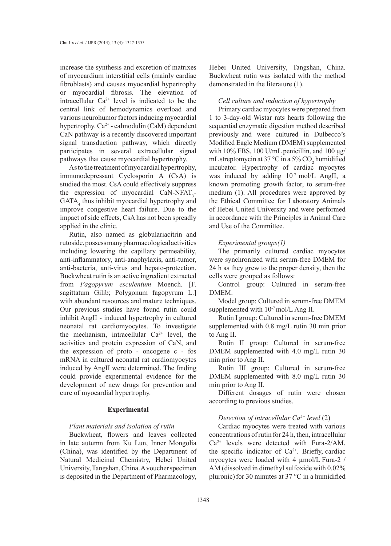increase the synthesis and excretion of matrixes of myocardium interstitial cells (mainly cardiac fibroblasts) and causes myocardial hypertrophy or myocardial fibrosis. The elevation of intracellular  $Ca^{2+}$  level is indicated to be the central link of hemodynamics overload and various neurohumor factors inducing myocardial hypertrophy.  $Ca^{2+}$  - calmodulin (CaM) dependent CaN pathway is a recently discovered important signal transduction pathway, which directly participates in several extracellular signal pathways that cause myocardial hypertrophy.

As to the treatment of myocardial hypertrophy, immunodepressant Cyclosporin A (CsA) is studied the most. CsA could effectively suppress the expression of myocardial  $CaN-NFAT<sub>3</sub>$ - $GATA<sub>4</sub>$  thus inhibit myocardial hypertrophy and improve congestive heart failure. Due to the impact of side effects, CsA has not been spreadly applied in the clinic.

Rutin, also named as globulariacitrin and rutoside, possess many pharmacological activities including lowering the capillary permeability, anti-inflammatory, anti-anaphylaxis, anti-tumor, anti-bacteria, anti-virus and hepato-protection. Buckwheat rutin is an active ingredient extracted from *Fagopyrum esculentum* Moench. [F. sagittatum Gilib; Polygonum fagopyrum L.] with abundant resources and mature techniques. Our previous studies have found rutin could inhibit AngII - induced hypertrophy in cultured neonatal rat cardiomyocytes. To investigate the mechanism, intracellular  $Ca^{2+}$  level, the activities and protein expression of CaN, and the expression of proto - oncogene c - fos mRNA in cultured neonatal rat cardiomyocytes induced by AngII were determined. The finding could provide experimental evidence for the development of new drugs for prevention and cure of myocardial hypertrophy.

### **Experimental**

#### *Plant materials and isolation of rutin*

Buckwheat, flowers and leaves collected in late autumn from Ku Lun, Inner Mongolia (China), was identified by the Department of Natural Medicinal Chemistry, Hebei United University, Tangshan, China. A voucher specimen is deposited in the Department of Pharmacology, Hebei United University, Tangshan, China. Buckwheat rutin was isolated with the method demonstrated in the literature (1).

### *Cell culture and induction of hypertrophy*

Primary cardiac myocytes were prepared from 1 to 3-day-old Wistar rats hearts following the sequential enzymatic digestion method described previously and were cultured in Dulbecco's Modified Eagle Medium (DMEM) supplemented with 10% FBS, 100 U/mL penicillin, and 100  $\mu$ g/ mL streptomycin at 37 °C in a 5%  $CO_2$  humidified incubator. Hypertrophy of cardiac myocytes was induced by adding  $10^{-7}$  mol/L AngII, a known promoting growth factor, to serum-free medium (1). All procedures were approved by the Ethical Committee for Laboratory Animals of Hebei United University and were performed in accordance with the Principles in Animal Care and Use of the Committee.

#### *Experimental groups(1)*

The primarily cultured cardiac myocytes were synchronized with serum-free DMEM for 24 h as they grew to the proper density, then the cells were grouped as follows:

Control group: Cultured in serum-free DMEM.

Model group: Cultured in serum-free DMEM supplemented with  $10^{-7}$  mol/L Ang II.

Rutin I group: Cultured in serum-free DMEM supplemented with 0.8 mg/L rutin 30 min prior to Ang II.

Rutin II group: Cultured in serum-free DMEM supplemented with 4.0 mg/L rutin 30 min prior to Ang II.

Rutin III group: Cultured in serum-free DMEM supplemented with 8.0 mg/L rutin 30 min prior to Ang II.

Different dosages of rutin were chosen according to previous studies.

# *Detection of intracellular Ca2+ level* (2)

Cardiac myocytes were treated with various concentrations of rutin for 24 h, then, intracellular  $Ca^{2+}$  levels were detected with Fura-2/AM, the specific indicator of  $Ca<sup>2+</sup>$ . Briefly, cardiac myocytes were loaded with 4 µmol/L Fura-2 / AM (dissolved in dimethyl sulfoxide with 0.02% pluronic) for 30 minutes at 37  $^{\circ}$ C in a humidified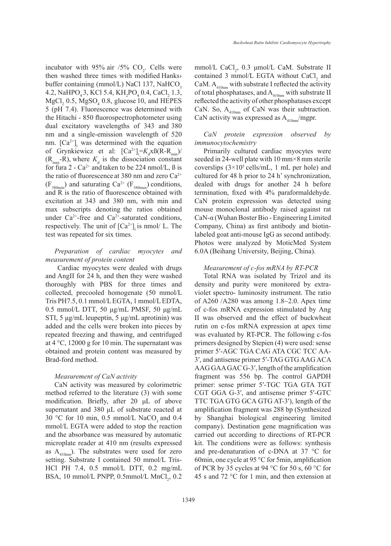incubator with 95% air  $/5\%$  CO<sub>2</sub>. Cells were then washed three times with modified Hanks› buffer containing (mmol/L) NaCl 137, NaHCO<sub>3</sub> 4.2, NaHPO<sub>4</sub>3, KCl 5.4, KH<sub>2</sub>PO<sub>4</sub> 0.4, CaCl<sub>2</sub> 1.3,  $MgCl<sub>2</sub> 0.5, MgSO<sub>4</sub> 0.8, glucose 10, and HEPES$ 5 (pH 7.4). Fluorescence was determined with the Hitachi - 850 fluorospectrophotometer using dual excitatory wavelengths of 343 and 380 nm and a single-emission wavelength of 520 nm.  $[Ca^{2+}]$ <sub>i</sub> was determined with the equation of Grynkiewicz et al:  $[Ca^{2+}] = K_d \times B(R - R_{min})/$  $(R<sub>max</sub>-R)$ , where  $K<sub>d</sub>$  is the dissociation constant for fura 2 -  $Ca^{2+}$  and taken to be 224 nmol/L,  $\beta$  is the ratio of fluorescence at 380 nm and zero  $Ca^{2+}$  $(F_{380min})$  and saturating  $Ca^{2+}$  ( $F_{380max}$ ) conditions, and  $\overline{R}$  is the ratio of fluorescence obtained with excitation at 343 and 380 nm, with min and max subscripts denoting the ratios obtained under  $Ca^{2+}$ -free and  $Ca^{2+}$ -saturated conditions, respectively. The unit of  $[Ca^{2+}]$  is nmol/ L. The test was repeated for six times.

# *Preparation of cardiac myocytes and measurement of protein content*

Cardiac myocytes were dealed with drugs and AngII for 24 h, and then they were washed thoroughly with PBS for three times and collected, precooled homogenate (50 mmol/L Tris PH7.5, 0.1 mmol/L EGTA, 1 mmol/L EDTA, 0.5 mmol/L DTT, 50 μg/mL PMSF, 50 μg/mL STI, 5 μg/mL leupeptin, 5 μg/mL aprotinin) was added and the cells were broken into pieces by repeated freezing and thawing, and centrifuged at  $4^{\circ}$ C, 12000 g for 10 min. The supernatant was obtained and protein content was measured by Brad-ford method.

#### *Measurement of CaN activity*

CaN activity was measured by colorimetric method referred to the literature (3) with some modification. Briefly, after 20 μL of above supernatant and 380 μL of substrate reacted at 30 °C for 10 min, 0.5 mmol/L NaCO<sub>3</sub> and 0.4 mmol/L EGTA were added to stop the reaction and the absorbance was measured by automatic microplate reader at 410 nm (results expressed as  $A_{410nm}$ ). The substrates were used for zero setting. Substrate I contained 50 mmol/L Tris-HCl PH 7.4, 0.5 mmol/L DTT, 0.2 mg/mL BSA, 10 mmol/L PNPP,  $0.5$ mmol/L MnCl<sub>2</sub>,  $0.2$ 

mmol/L CaCl<sub>2</sub>, 0.3  $\mu$ mol/L CaM. Substrate II contained 3 mmol/L EGTA without  $CaCl<sub>2</sub>$  and CaM.  $A_{410nm}$  with substrate I reflected the activity of total phosphatases, and  $A_{410nm}$  with substrate II reflected the activity of other phosphatases except CaN. So,  $A_{410nm}$  of CaN was their subtraction. CaN activity was expressed as  $A_{410\text{nm}}/$ mgpr.

# *CaN protein expression observed by immunocytochemistry*

Primarily cultured cardiac myocytes were seeded in 24-well plate with 10 mm×8 mm sterile coverslips  $(3\times10^5 \text{ cells/mL}, 1 \text{ mL per hole})$  and cultured for 48 h prior to 24 h' synchronization, dealed with drugs for another 24 h before termination, fixed with 4% paraformaldehyde. CaN protein expression was detected using mouse monoclonal antibody raised against rat CaN-α (Wuhan Boster Bio - Engineering Limited Company, China) as first antibody and biotinlabeled goat anti-mouse IgG as second antibody. Photos were analyzed by MoticMed System 6.0A (Beihang University, Beijing, China).

### *Measurement of c-fos mRNA by RT-PCR*

Total RNA was isolated by Trizol and its density and purity were monitored by extraviolet spectro- luminosity instrument. The ratio of A260 /A280 was among 1.8~2.0. Apex time of c-fos mRNA expression stimulated by Ang II was observed and the effect of buckwheat rutin on c-fos mRNA expression at apex time was evaluated by RT-PCR. The following c-fos primers designed by Stepien (4) were used: sense primer 5′-AGC TGA CAG ATA CGC TCC AA-3′, and antisense primer 5′-TAG GTG AAG ACA AAG GAA GAC G-3′, length of the amplification fragment was 556 bp. The control GAPDH primer: sense primer 5′-TGC TGA GTA TGT CGT GGA G-3′, and antisense primer 5′-GTC TTC TGA GTG GCA GTG AT-3′), length of the amplification fragment was 288 bp (Synthesized by Shanghai biological engineering limited company). Destination gene magnification was carried out according to directions of RT-PCR kit. The conditions were as follows: synthesis and pre-denaturation of c-DNA at 37 °C for 60min, one cycle at 95 °C for 5min, amplification of PCR by 35 cycles at 94 °C for 50 s, 60 °C for 45 s and 72 °C for 1 min, and then extension at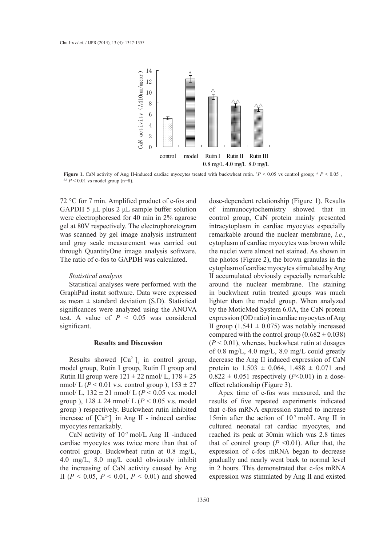

**Figure 1.** CaN activity of Ang II-induced cardiac myocytes treated with buckwheat rutin.  $P < 0.05$  vs control group;  $\Delta P < 0.05$ , ∆∆ *P* < 0.01 vs model group (n=8).

72 °C for 7 min. Amplified product of c-fos and GAPDH 5 μL plus 2 μL sample buffer solution were electrophoresed for 40 min in 2% agarose gel at 80V respectively. The electrophoretogram was scanned by gel image analysis instrument and gray scale measurement was carried out through QuantityOne image analysis software. The ratio of c-fos to GAPDH was calculated.

#### *Statistical analysis*

Statistical analyses were performed with the GraphPad instat software. Data were expressed as mean  $\pm$  standard deviation (S.D). Statistical significances were analyzed using the ANOVA test. A value of  $P < 0.05$  was considered significant.

# **Results and Discussion**

Results showed  $[Ca^{2+}]$ <sub>i</sub> in control group, model group, Rutin I group, Rutin II group and Rutin III group were  $121 \pm 22$  nmol/ L,  $178 \pm 25$ nmol/ L ( $P < 0.01$  v.s. control group),  $153 \pm 27$ nmol/ L, 132 ± 21 nmol/ L (*P* < 0.05 v.s. model group ),  $128 \pm 24$  nmol/ L ( $P < 0.05$  v.s. model group ) respectively. Buckwheat rutin inhibited increase of  $[Ca^{2+}]$ <sub>i</sub> in Ang II - induced cardiac myocytes remarkably.

CaN activity of 10-7 mol/L Ang II -induced cardiac myocytes was twice more than that of control group. Buckwheat rutin at 0.8 mg/L, 4.0 mg/L, 8.0 mg/L could obviously inhibit the increasing of CaN activity caused by Ang II ( $P < 0.05$ ,  $P < 0.01$ ,  $P < 0.01$ ) and showed

dose-dependent relationship (Figure 1). Results of immunocytochemistry showed that in control group, CaN protein mainly presented intracytoplasm in cardiac myocytes especially remarkable around the nuclear membrane, *i.e*., cytoplasm of cardiac myocytes was brown while the nuclei were almost not stained. As shown in the photos (Figure 2), the brown granulas in the cytoplasm of cardiac myocytes stimulated by Ang II accumulated obviously especially remarkable around the nuclear membrane. The staining in buckwheat rutin treated groups was much lighter than the model group. When analyzed by the MoticMed System 6.0A, the CaN protein expression (OD ratio) in cardiac myocytes of Ang II group  $(1.541 \pm 0.075)$  was notably increased compared with the control group  $(0.682 \pm 0.038)$  $(P < 0.01)$ , whereas, buckwheat rutin at dosages of 0.8 mg/L, 4.0 mg/L, 8.0 mg/L could greatly decrease the Ang II induced expression of CaN protein to  $1.503 \pm 0.064$ ,  $1.488 \pm 0.071$  and  $0.822 \pm 0.051$  respectively (*P*<0.01) in a doseeffect relationship (Figure 3).

Apex time of c-fos was measured, and the results of five repeated experiments indicated that c-fos mRNA expression started to increase 15min after the action of  $10^{-7}$  mol/L Ang II in cultured neonatal rat cardiac myocytes, and reached its peak at 30min which was 2.8 times that of control group  $(P \le 0.01)$ . After that, the expression of c-fos mRNA began to decrease gradually and nearly went back to normal level in 2 hours. This demonstrated that c-fos mRNA expression was stimulated by Ang II and existed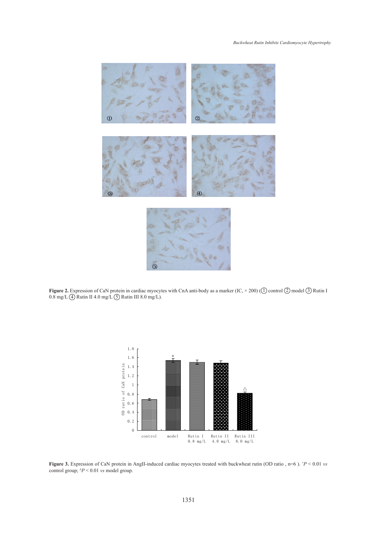

**Figure 2.** Expression of CaN protein in cardiac myocytes with CnA anti-body as a marker (IC,  $\times$  200) (1) control 2) model 3) Rutin I 0.8 mg/L  $\overline{4}$  Rutin II 4.0 mg/L  $\overline{5}$  Rutin III 8.0 mg/L).



**Figure 3.** Expression of CaN protein in AngII-induced cardiac myocytes treated with buckwheat rutin (OD ratio, n=6).  $P < 0.01$  *vs* control group; ∆*P* < 0.01 *vs* model group.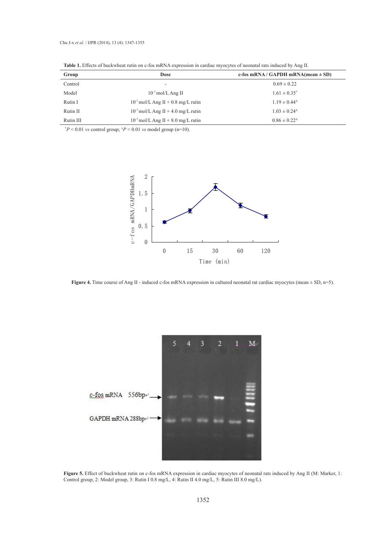| Group     | Dose                                    | c-fos mRNA/GAPDH mRNA(mean $\pm$ SD)              |
|-----------|-----------------------------------------|---------------------------------------------------|
| Control   |                                         | $0.69 \pm 0.22$                                   |
| Model     | $10^{-7}$ mol/L Ang II                  | $1.61 \pm 0.35^*$                                 |
| Rutin I   | $10^{-7}$ mol/L Ang II + 0.8 mg/L rutin | $1.19 \pm 0.44^{\circ}$                           |
| Rutin II  | $10^{-7}$ mol/L Ang II + 4.0 mg/L rutin | $1.03 \pm 0.24$ <sup><math>\triangle</math></sup> |
| Rutin III | $10^{-7}$ mol/L Ang II + 8.0 mg/L rutin | $0.86 \pm 0.22^{\Delta}$                          |

**Table 1.** Effects of buckwheat rutin on c-fos mRNA expression in cardiac myocytes of neonatal rats induced by Ang II.

\* *P* < 0.01 *vs* control group; <sup>∆</sup>*P* < 0.01 *vs* model group (n=10).



**Figure 4.** Time course of Ang II - induced c-fos mRNA expression in cultured neonatal rat cardiac myocytes (mean  $\pm$  SD, n=5).



**Figure 5.** Effect of buckwheat rutin on c-fos mRNA expression in cardiac myocytes of neonatal rats induced by Ang II (M: Marker, 1: Control group, 2: Model group, 3: Rutin I 0.8 mg/L, 4: Rutin II 4.0 mg/L, 5: Rutin III 8.0 mg/L).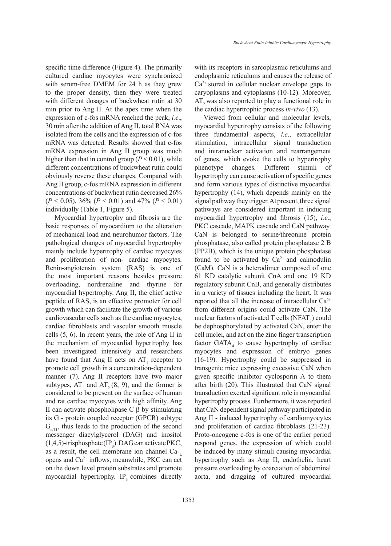specific time difference (Figure 4). The primarily cultured cardiac myocytes were synchronized with serum-free DMEM for 24 h as they grew to the proper density, then they were treated with different dosages of buckwheat rutin at 30 min prior to Ang II. At the apex time when the expression of c-fos mRNA reached the peak, *i.e*., 30 min after the addition of Ang II, total RNA was isolated from the cells and the expression of c-fos mRNA was detected. Results showed that c-fos mRNA expression in Ang II group was much higher than that in control group  $(P < 0.01)$ , while different concentrations of buckwheat rutin could obviously reverse these changes. Compared with Ang II group, c-fos mRNA expression in different concentrations of buckwheat rutin decreased 26% (*P* < 0.05), 36% (*P* < 0.01) and 47% (*P* < 0.01) individually (Table 1, Figure 5).

Myocardial hypertrophy and fibrosis are the basic responses of myocardium to the alteration of mechanical load and neurohumor factors. The pathological changes of myocardial hypertrophy mainly include hypertrophy of cardiac myocytes and proliferation of non- cardiac myocytes. Renin-angiotensin system (RAS) is one of the most important reasons besides pressure overloading, nordrenaline and thyrine for myocardial hypertrophy. Ang II, the chief active peptide of RAS, is an effective promoter for cell growth which can facilitate the growth of various cardiovascular cells such as the cardiac myocytes, cardiac fibroblasts and vascular smooth muscle cells (5, 6). In recent years, the role of Ang II in the mechanism of myocardial hypertrophy has been investigated intensively and researchers have found that Ang II acts on  $AT_1$  receptor to promote cell growth in a concentration-dependent manner (7). Ang II receptors have two major subtypes,  $AT_1$  and  $AT_2$  (8, 9), and the former is considered to be present on the surface of human and rat cardiac myocytes with high affinity. Ang II can activate phospholipase C β by stimulating its G - protein coupled receptor (GPCR) subtype  $G<sub>g(11)</sub>$ , thus leads to the production of the second messenger diacylglycerol (DAG) and inositol  $(1,4,5)$ -trisphosphate  $(IP_3)$ . DAG can activate PKC, as a result, the cell membrane ion channel  $Ca_{\tau}$ opens and  $Ca^{2+}$  inflows, meanwhile, PKC can act on the down level protein substrates and promote myocardial hypertrophy.  $IP_3$  combines directly

with its receptors in sarcoplasmic reticulums and endoplasmic reticulums and causes the release of  $Ca<sup>2+</sup>$  stored in cellular nuclear envelope gaps to caryoplasms and cytoplasms (10-12). Moreover, AT<sub>2</sub> was also reported to play a functional role in the cardiac hypertrophic process *in-vivo* (13).

Viewed from cellular and molecular levels, myocardial hypertrophy consists of the following three fundamental aspects, *i.e*., extracellular stimulation, intracellular signal transduction and intranuclear activation and rearrangement of genes, which evoke the cells to hypertrophy phenotype changes. Different stimuli of hypertrophy can cause activation of specific genes and form various types of distinctive myocardial hypertrophy (14), which depends mainly on the signal pathway they trigger. At present, three signal pathways are considered important in inducing myocardial hypertrophy and fibrosis (15), *i.e*., PKC cascade, MAPK cascade and CaN pathway. CaN is belonged to serine/threonine protein phosphatase, also called protein phosphatase 2 B (PP2B), which is the unique protein phosphatase found to be activated by  $Ca^{2+}$  and calmodulin (CaM). CaN is a heterodimer composed of one 61 KD catalytic subunit CnA and one 19 KD regulatory subunit CnB, and generally distributes in a variety of tissues including the heart. It was reported that all the increase of intracellular  $Ca^{2+}$ from different origins could activate CaN. The nuclear factors of activated T cells (NFAT<sub>3</sub>) could be dephosphorylated by activated CaN, enter the cell nuclei, and act on the zinc finger transcription factor  $GATA_4$  to cause hypertrophy of cardiac myocytes and expression of embryo genes (16-19). Hypertrophy could be suppressed in transgenic mice expressing excessive CaN when given specific inhibitor cyclosporin A to them after birth (20). This illustrated that CaN signal transduction exerted significant role in myocardial hypertrophy process. Furthermore, it was reported that CaN dependent signal pathway participated in Ang II - induced hypertrophy of cardiomyocytes and proliferation of cardiac fibroblasts (21-23). Proto-oncogene c-fos is one of the earlier period respond genes, the expression of which could be induced by many stimuli causing myocardial hypertrophy such as Ang II, endothelin, heart pressure overloading by coarctation of abdominal aorta, and dragging of cultured myocardial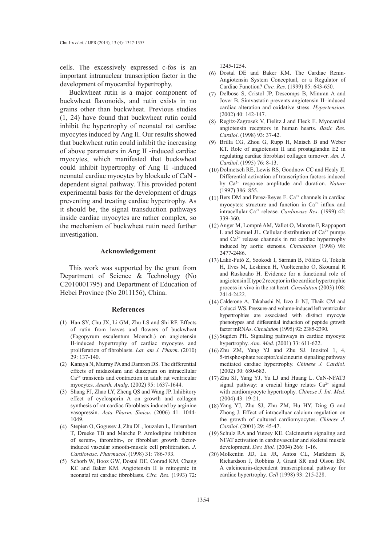cells. The excessively expressed c-fos is an important intranuclear transcription factor in the development of myocardial hypertrophy.

Buckwheat rutin is a major component of buckwheat flavonoids, and rutin exists in no grains other than buckwheat. Previous studies (1, 24) have found that buckwheat rutin could inhibit the hypertrophy of neonatal rat cardiac myocytes induced by Ang II. Our results showed that buckwheat rutin could inhibit the increasing of above parameters in Ang II -induced cardiac myocytes, which manifested that buckwheat could inhibit hypertrophy of Ang II -induced neonatal cardiac myocytes by blockade of CaN dependent signal pathway. This provided potent experimental basis for the development of drugs preventing and treating cardiac hypertrophy. As it should be, the signal transduction pathways inside cardiac myocytes are rather complex, so the mechanism of buckwheat rutin need further investigation.

### **Acknowledgement**

This work was supported by the grant from Department of Science & Technology (No C2010001795) and Department of Education of Hebei Province (No 2011156), China.

### **References**

- Han SY, Chu JX, Li GM, Zhu LS and Shi RF. Effects (1) of rutin from leaves and flowers of buckwheat (Fagopyrum esculentum Moench.) on angiotensin II-induced hypertrophy of cardiac myocytes and proliferation of fibroblasts. *Lat. am J. Pharm*. (2010) 29: 137-140.
- (2) Kanaya N, Murray PA and Damron DS. The differential effects of midazolam and diazepam on intracellular  $Ca<sup>2+</sup>$  transients and contraction in adult rat ventricular myocytes. *Anesth. Analg*. (2002) 95: 1637-1644.
- Shang FJ, Zhao LY, Zheng QS and Wang JP. Inhibitory (3) effect of cyclosporin A on growth and collagen synthesis of rat cardiac fibroblasts induced by arginine vasopressin. *Acta Pharm. Sinica*. (2006) 41: 1044- 1049.
- Stepien O, Gogusev J, Zhu DL, Iouzalen L, Herembert (4) T, Drueke TB and Marche P. Amlodipine inhibition of serum-, thrombin-, or fibroblast growth factorinduced vascular smooth-muscle cell proliferation. *J. Cardiovasc. Pharmacol*. (1998) 31: 786-793.
- (5) Schorb W, Booz GW, Dostal DE, Conrad KM, Chang KC and Baker KM. Angiotensin II is mitogenic in neonatal rat cardiac fibroblasts. *Circ. Res*. (1993) 72:

1245-1254.

- Dostal DE and Baker KM. The Cardiac Renin-(6) Angiotensin System Conceptual, or a Regulator of Cardiac Function? *Circ. Res*. (1999) 85: 643-650.
- (7) Delbosc S, Cristol JP, Descomps B, Mimran A and Jover B. Simvastatin prevents angiotensin II–induced cardiac alteration and oxidative stress. *Hypertension*. (2002) 40: 142-147.
- (8) Regitz-Zagrosek V, Fielitz J and Fleck E. Myocardial angiotensin receptors in human hearts. *Basic Res. Cardiol*. (1998) 93: 37-42.
- Brilla CG, Zhou G, Rupp H, Maisch B and Weber (9) KT. Role of angiotensin II and prostaglandin E2 in regulating cardiac fibroblast collagen turnover. *Am. J. Cardiol*. (1995) 76: 8-13.
- $(10)$  Dolmetsch RE, Lewis RS, Goodnow CC and Healy JI. Differential activation of transcription factors induced by Ca2+ response amplitude and duration. *Nature* (1997) 386: 855.
- (11) Bers DM and Perez-Reyes E.  $Ca^{2+}$  channels in cardiac myocytes: structure and function in  $Ca<sup>2+</sup>$  influx and intracellular Ca2+ release. *Cardiovasc Res*. (1999) 42: 339-360.
- (12) Anger M, Lompré AM, Vallot O, Marotte F, Rappaport L and Samuel JL. Cellular distribution of  $Ca<sup>2+</sup>$  pumps and Ca<sup>2+</sup> release channels in rat cardiac hypertrophy induced by aortic stenosis. *Circulation* (1998) 98: 2477-2486.
- Lakó-Futó Z, Szokodi I, Sármán B, Földes G, Tokola (13) H, Ilves M, Leskinen H, Vuolteenaho O, Skoumal R and Ruskoaho H. Evidence for a functional role of angiotensin II type 2 receptor in the cardiac hypertrophic process in vivo in the rat heart. *Circulation* (2003) 108: 2414-2422.
- (14) Calderone A, Takahashi N, Izzo Jr NJ, Thaik CM and Colucci WS. Pressure-and volume-induced left ventricular hypertrophies are associated with distinct myocyte phenotypes and differential induction of peptide growth factor mRNAs. *Circulation* (1995) 92: 2385-2390.
- (15) Sugden PH. Signaling pathways in cardiac myocyte hypertrophy. *Ann. Med*. (2001) 33: 611-622.
- $(16)$  Zhu ZM, Yang YJ and Zhu SJ. Inositol 1, 4, 5-trisphosphate receptor/calcineurin signaling pathway mediated cardiac hypertrophy. *Chinese J. Cardiol*. (2002) 30: 680-683.
- (17) Zhu SJ, Yang YJ, Yu LJ and Huang L. CaN-NFAT3 signal pathway: a crucial hinge relates  $Ca^{2+}$  signal with cardiomyocyte hypertrophy. *Chinese J. Int. Med*. (2004) 43: 19-21.
- Yang YJ, Zhu SJ, Zhu ZM, Hu HY, Ding G and (18) Zhong J. Effect of intracelluar calcium regulation on the growth of cultured cardiomyocytes. *Chinese J. Cardiol*. (2001) 29: 45-47.
- (19) Schulz RA and Yutzey KE. Calcineurin signaling and NFAT activation in cardiovascular and skeletal muscle development. *Dev. Biol.* (2004) 266: 1-16.
- (20) Molkentin JD, Lu JR, Antos CL, Markham B, Richardson J, Robbins J, Grant SR and Olson EN. A calcineurin-dependent transcriptional pathway for cardiac hypertrophy. *Cell* (1998) 93: 215-228.